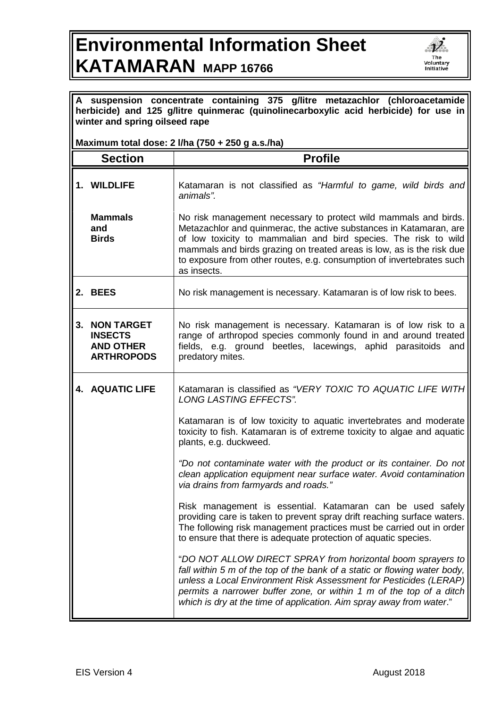## **Environmental Information Sheet KATAMARAN MAPP 16766**



| A suspension concentrate containing 375 g/litre metazachlor (chloroacetamide<br>herbicide) and 125 g/litre quinmerac (quinolinecarboxylic acid herbicide) for use in<br>winter and spring oilseed rape |                                                                              |                                                                                                                                                                                                                                                                                                                                                                           |  |
|--------------------------------------------------------------------------------------------------------------------------------------------------------------------------------------------------------|------------------------------------------------------------------------------|---------------------------------------------------------------------------------------------------------------------------------------------------------------------------------------------------------------------------------------------------------------------------------------------------------------------------------------------------------------------------|--|
| Maximum total dose: 2 I/ha (750 + 250 g a.s./ha)                                                                                                                                                       |                                                                              |                                                                                                                                                                                                                                                                                                                                                                           |  |
|                                                                                                                                                                                                        | <b>Section</b>                                                               | <b>Profile</b>                                                                                                                                                                                                                                                                                                                                                            |  |
|                                                                                                                                                                                                        | 1. WILDLIFE                                                                  | Katamaran is not classified as "Harmful to game, wild birds and<br>animals".                                                                                                                                                                                                                                                                                              |  |
|                                                                                                                                                                                                        | <b>Mammals</b><br>and<br><b>Birds</b>                                        | No risk management necessary to protect wild mammals and birds.<br>Metazachlor and quinmerac, the active substances in Katamaran, are<br>of low toxicity to mammalian and bird species. The risk to wild<br>mammals and birds grazing on treated areas is low, as is the risk due<br>to exposure from other routes, e.g. consumption of invertebrates such<br>as insects. |  |
|                                                                                                                                                                                                        | 2. BEES                                                                      | No risk management is necessary. Katamaran is of low risk to bees.                                                                                                                                                                                                                                                                                                        |  |
| 3.                                                                                                                                                                                                     | <b>NON TARGET</b><br><b>INSECTS</b><br><b>AND OTHER</b><br><b>ARTHROPODS</b> | No risk management is necessary. Katamaran is of low risk to a<br>range of arthropod species commonly found in and around treated<br>fields, e.g. ground beetles, lacewings, aphid parasitoids and<br>predatory mites.                                                                                                                                                    |  |
|                                                                                                                                                                                                        | <b>4. AQUATIC LIFE</b>                                                       | Katamaran is classified as "VERY TOXIC TO AQUATIC LIFE WITH<br><b>LONG LASTING EFFECTS".</b>                                                                                                                                                                                                                                                                              |  |
|                                                                                                                                                                                                        |                                                                              | Katamaran is of low toxicity to aquatic invertebrates and moderate<br>toxicity to fish. Katamaran is of extreme toxicity to algae and aquatic<br>plants, e.g. duckweed.                                                                                                                                                                                                   |  |
|                                                                                                                                                                                                        |                                                                              | "Do not contaminate water with the product or its container. Do not<br>clean application equipment near surface water. Avoid contamination<br>via drains from farmyards and roads."                                                                                                                                                                                       |  |
|                                                                                                                                                                                                        |                                                                              | Risk management is essential. Katamaran can be used safely<br>providing care is taken to prevent spray drift reaching surface waters.<br>The following risk management practices must be carried out in order<br>to ensure that there is adequate protection of aquatic species.                                                                                          |  |
|                                                                                                                                                                                                        |                                                                              | "DO NOT ALLOW DIRECT SPRAY from horizontal boom sprayers to<br>fall within 5 m of the top of the bank of a static or flowing water body,<br>unless a Local Environment Risk Assessment for Pesticides (LERAP)<br>permits a narrower buffer zone, or within 1 m of the top of a ditch<br>which is dry at the time of application. Aim spray away from water."              |  |